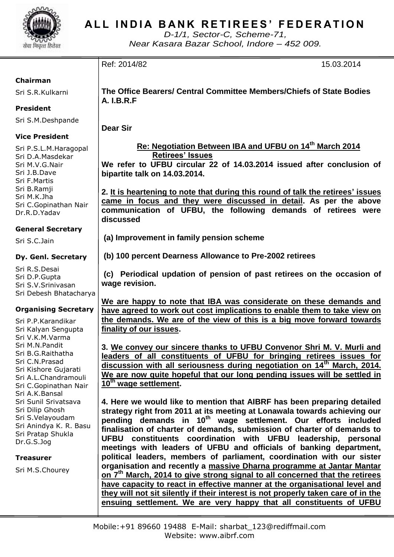

## ALL INDIA BANK RETIREES' FEDERATION

*D-1/1, Sector-C, Scheme-71, Near Kasara Bazar School, Indore – 452 009.*

| Chairman |  |
|----------|--|

Sri S.R.Kulkarni

## **President**

Sri S.M.Deshpande

## **Vice President**

Sri P.S.L.M.Haragopal Sri D.A.Masdekar Sri M.V.G.Nair Sri J.B.Dave Sri F.Martis Sri B.Ramji Sri M.K.Jha Sri C.Gopinathan Nair Dr.R.D.Yadav

## **General Secretary**

Sri S.C.Jain

## **Dy. Genl. Secretary**

Sri R.S.Desai Sri D.P.Gupta Sri S.V.Srinivasan Sri Debesh Bhatacharya

## **Organising Secretary**

Sri P.P.Karandikar Sri Kalyan Sengupta Sri V.K.M.Varma Sri M.N.Pandit Sri B.G.Raithatha Sri C.N.Prasad Sri Kishore Gujarati Sri A.L.Chandramouli Sri C.Gopinathan Nair Sri A.K.Bansal Sri Sunil Srivatsava Sri Dilip Ghosh Sri S.Velayoudam Sri Anindya K. R. Basu Sri Pratap Shukla Dr.G.S.Jog

**Treasurer**

Sri M.S.Chourey

**The Office Bearers/ Central Committee Members/Chiefs of State Bodies A. I.B.R.F**

Ref: 2014/82 15.03.2014

**Dear Sir**

 **Re: Negotiation Between IBA and UFBU on 14th March 2014 Retirees' Issues**

**We refer to UFBU circular 22 of 14.03.2014 issued after conclusion of bipartite talk on 14.03.2014.**

**2. It is heartening to note that during this round of talk the retirees' issues came in focus and they were discussed in detail. As per the above communication of UFBU, the following demands of retirees were discussed**

**(a) Improvement in family pension scheme**

**(b) 100 percent Dearness Allowance to Pre-2002 retirees**

**(c) Periodical updation of pension of past retirees on the occasion of wage revision.**

**We are happy to note that IBA was considerate on these demands and have agreed to work out cost implications to enable them to take view on the demands. We are of the view of this is a big move forward towards finality of our issues.** 

**3. We convey our sincere thanks to UFBU Convenor Shri M. V. Murli and leaders of all constituents of UFBU for bringing retirees issues for discussion with all seriousness during negotiation on 14th March, 2014. We are now quite hopeful that our long pending issues will be settled in 10th wage settlement.**

**4. Here we would like to mention that AIBRF has been preparing detailed strategy right from 2011 at its meeting at Lonawala towards achieving our pending demands in 10th wage settlement. Our efforts included finalisation of charter of demands, submission of charter of demands to UFBU constituents coordination with UFBU leadership, personal meetings with leaders of UFBU and officials of banking department, political leaders, members of parliament, coordination with our sister organisation and recently a massive Dharna programme at Jantar Mantar on 7th March, 2014 to give strong signal to all concerned that the retirees have capacity to react in effective manner at the organisational level and they will not sit silently if their interest is not properly taken care of in the ensuing settlement. We are very happy that all constituents of UFBU**